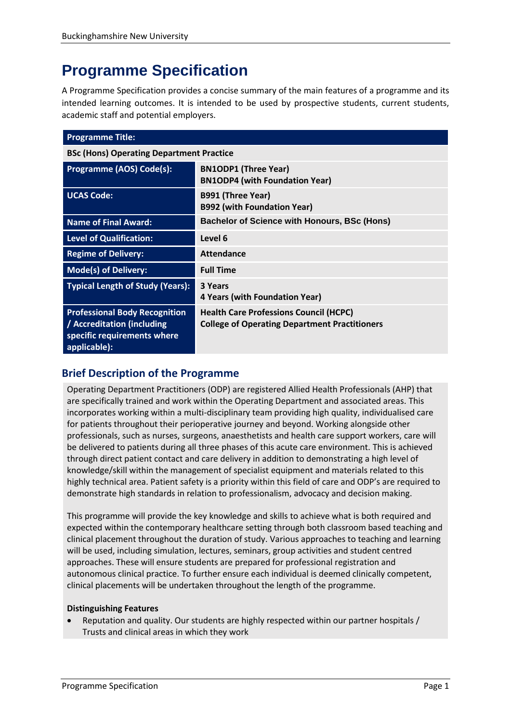# **Programme Specification**

A Programme Specification provides a concise summary of the main features of a programme and its intended learning outcomes. It is intended to be used by prospective students, current students, academic staff and potential employers.

| <b>Programme Title:</b>                                                                                           |                                                                                                       |  |
|-------------------------------------------------------------------------------------------------------------------|-------------------------------------------------------------------------------------------------------|--|
| <b>BSc (Hons) Operating Department Practice</b>                                                                   |                                                                                                       |  |
| Programme (AOS) Code(s):                                                                                          | <b>BN1ODP1 (Three Year)</b><br><b>BN1ODP4 (with Foundation Year)</b>                                  |  |
| <b>UCAS Code:</b>                                                                                                 | <b>B991 (Three Year)</b><br><b>B992 (with Foundation Year)</b>                                        |  |
| <b>Name of Final Award:</b>                                                                                       | <b>Bachelor of Science with Honours, BSc (Hons)</b>                                                   |  |
| <b>Level of Qualification:</b>                                                                                    | Level 6                                                                                               |  |
| <b>Regime of Delivery:</b>                                                                                        | <b>Attendance</b>                                                                                     |  |
| <b>Mode(s) of Delivery:</b>                                                                                       | <b>Full Time</b>                                                                                      |  |
| <b>Typical Length of Study (Years):</b>                                                                           | 3 Years<br>4 Years (with Foundation Year)                                                             |  |
| <b>Professional Body Recognition</b><br>/ Accreditation (including<br>specific requirements where<br>applicable): | <b>Health Care Professions Council (HCPC)</b><br><b>College of Operating Department Practitioners</b> |  |

# **Brief Description of the Programme**

Operating Department Practitioners (ODP) are registered Allied Health Professionals (AHP) that are specifically trained and work within the Operating Department and associated areas. This incorporates working within a multi-disciplinary team providing high quality, individualised care for patients throughout their perioperative journey and beyond. Working alongside other professionals, such as nurses, surgeons, anaesthetists and health care support workers, care will be delivered to patients during all three phases of this acute care environment. This is achieved through direct patient contact and care delivery in addition to demonstrating a high level of knowledge/skill within the management of specialist equipment and materials related to this highly technical area. Patient safety is a priority within this field of care and ODP's are required to demonstrate high standards in relation to professionalism, advocacy and decision making.

This programme will provide the key knowledge and skills to achieve what is both required and expected within the contemporary healthcare setting through both classroom based teaching and clinical placement throughout the duration of study. Various approaches to teaching and learning will be used, including simulation, lectures, seminars, group activities and student centred approaches. These will ensure students are prepared for professional registration and autonomous clinical practice. To further ensure each individual is deemed clinically competent, clinical placements will be undertaken throughout the length of the programme.

#### **Distinguishing Features**

 Reputation and quality. Our students are highly respected within our partner hospitals / Trusts and clinical areas in which they work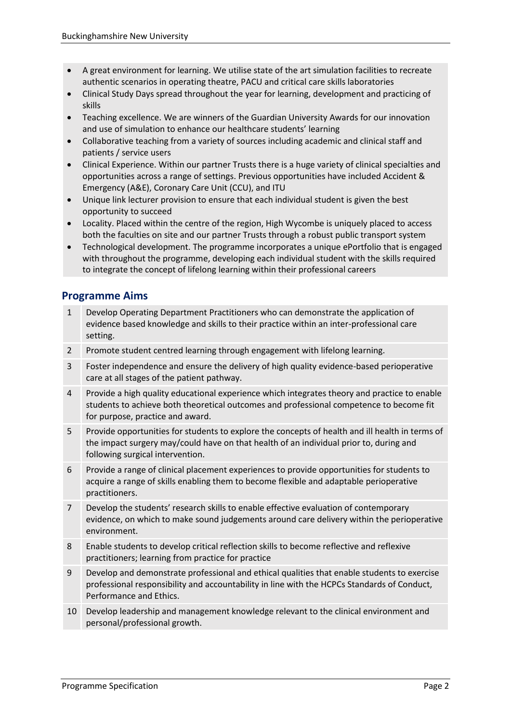- A great environment for learning. We utilise state of the art simulation facilities to recreate authentic scenarios in operating theatre, PACU and critical care skills laboratories
- Clinical Study Days spread throughout the year for learning, development and practicing of skills
- Teaching excellence. We are winners of the Guardian University Awards for our innovation and use of simulation to enhance our healthcare students' learning
- Collaborative teaching from a variety of sources including academic and clinical staff and patients / service users
- Clinical Experience. Within our partner Trusts there is a huge variety of clinical specialties and opportunities across a range of settings. Previous opportunities have included Accident & Emergency (A&E), Coronary Care Unit (CCU), and ITU
- Unique link lecturer provision to ensure that each individual student is given the best opportunity to succeed
- Locality. Placed within the centre of the region, High Wycombe is uniquely placed to access both the faculties on site and our partner Trusts through a robust public transport system
- Technological development. The programme incorporates a unique ePortfolio that is engaged with throughout the programme, developing each individual student with the skills required to integrate the concept of lifelong learning within their professional careers

# **Programme Aims**

- 1 Develop Operating Department Practitioners who can demonstrate the application of evidence based knowledge and skills to their practice within an inter-professional care setting.
- 2 Promote student centred learning through engagement with lifelong learning.
- 3 Foster independence and ensure the delivery of high quality evidence-based perioperative care at all stages of the patient pathway.
- 4 Provide a high quality educational experience which integrates theory and practice to enable students to achieve both theoretical outcomes and professional competence to become fit for purpose, practice and award.
- 5 Provide opportunities for students to explore the concepts of health and ill health in terms of the impact surgery may/could have on that health of an individual prior to, during and following surgical intervention.
- 6 Provide a range of clinical placement experiences to provide opportunities for students to acquire a range of skills enabling them to become flexible and adaptable perioperative practitioners.
- 7 Develop the students' research skills to enable effective evaluation of contemporary evidence, on which to make sound judgements around care delivery within the perioperative environment.
- 8 Enable students to develop critical reflection skills to become reflective and reflexive practitioners; learning from practice for practice
- 9 Develop and demonstrate professional and ethical qualities that enable students to exercise professional responsibility and accountability in line with the HCPCs Standards of Conduct, Performance and Ethics.
- 10 Develop leadership and management knowledge relevant to the clinical environment and personal/professional growth.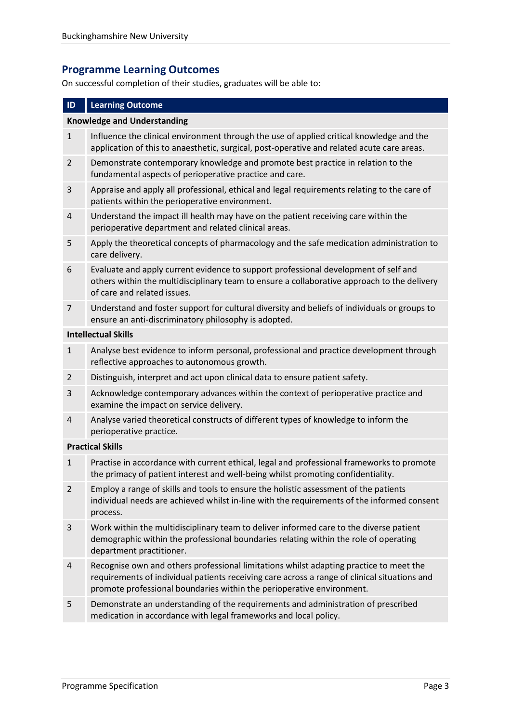# **Programme Learning Outcomes**

On successful completion of their studies, graduates will be able to:

#### **ID Learning Outcome**

#### **Knowledge and Understanding**

- 1 Influence the clinical environment through the use of applied critical knowledge and the application of this to anaesthetic, surgical, post-operative and related acute care areas.
- 2 Demonstrate contemporary knowledge and promote best practice in relation to the fundamental aspects of perioperative practice and care.
- 3 Appraise and apply all professional, ethical and legal requirements relating to the care of patients within the perioperative environment.
- 4 Understand the impact ill health may have on the patient receiving care within the perioperative department and related clinical areas.
- 5 Apply the theoretical concepts of pharmacology and the safe medication administration to care delivery.
- 6 Evaluate and apply current evidence to support professional development of self and others within the multidisciplinary team to ensure a collaborative approach to the delivery of care and related issues.
- 7 Understand and foster support for cultural diversity and beliefs of individuals or groups to ensure an anti-discriminatory philosophy is adopted.

#### **Intellectual Skills**

- 1 Analyse best evidence to inform personal, professional and practice development through reflective approaches to autonomous growth.
- 2 Distinguish, interpret and act upon clinical data to ensure patient safety.
- 3 Acknowledge contemporary advances within the context of perioperative practice and examine the impact on service delivery.
- 4 Analyse varied theoretical constructs of different types of knowledge to inform the perioperative practice.

#### **Practical Skills**

- 1 Practise in accordance with current ethical, legal and professional frameworks to promote the primacy of patient interest and well-being whilst promoting confidentiality.
- 2 Employ a range of skills and tools to ensure the holistic assessment of the patients individual needs are achieved whilst in-line with the requirements of the informed consent process.
- 3 Work within the multidisciplinary team to deliver informed care to the diverse patient demographic within the professional boundaries relating within the role of operating department practitioner.
- 4 Recognise own and others professional limitations whilst adapting practice to meet the requirements of individual patients receiving care across a range of clinical situations and promote professional boundaries within the perioperative environment.
- 5 Demonstrate an understanding of the requirements and administration of prescribed medication in accordance with legal frameworks and local policy.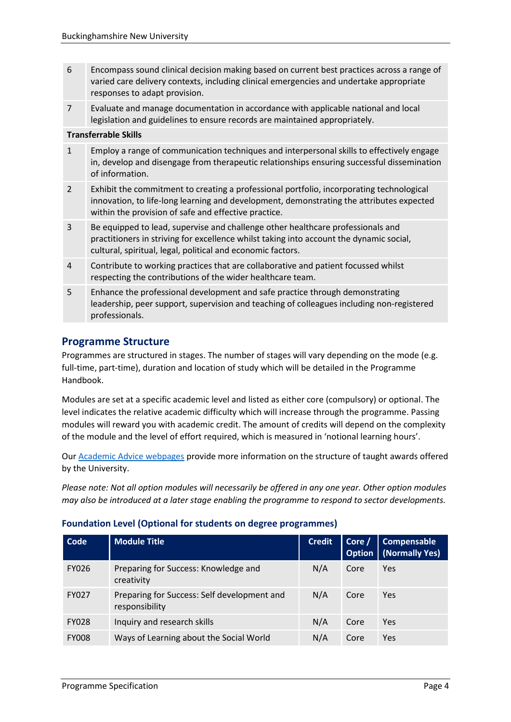- 6 Encompass sound clinical decision making based on current best practices across a range of varied care delivery contexts, including clinical emergencies and undertake appropriate responses to adapt provision.
- 7 Evaluate and manage documentation in accordance with applicable national and local legislation and guidelines to ensure records are maintained appropriately.

#### **Transferrable Skills**

- 1 Employ a range of communication techniques and interpersonal skills to effectively engage in, develop and disengage from therapeutic relationships ensuring successful dissemination of information.
- 2 Exhibit the commitment to creating a professional portfolio, incorporating technological innovation, to life-long learning and development, demonstrating the attributes expected within the provision of safe and effective practice.
- 3 Be equipped to lead, supervise and challenge other healthcare professionals and practitioners in striving for excellence whilst taking into account the dynamic social, cultural, spiritual, legal, political and economic factors.
- 4 Contribute to working practices that are collaborative and patient focussed whilst respecting the contributions of the wider healthcare team.
- 5 Enhance the professional development and safe practice through demonstrating leadership, peer support, supervision and teaching of colleagues including non-registered professionals.

# **Programme Structure**

Programmes are structured in stages. The number of stages will vary depending on the mode (e.g. full-time, part-time), duration and location of study which will be detailed in the Programme Handbook.

Modules are set at a specific academic level and listed as either core (compulsory) or optional. The level indicates the relative academic difficulty which will increase through the programme. Passing modules will reward you with academic credit. The amount of credits will depend on the complexity of the module and the level of effort required, which is measured in 'notional learning hours'.

Our [Academic Advice webpages](https://bucks.ac.uk/students/academicadvice/course-structure-and-regulations/how-your-course-is-structured) provide more information on the structure of taught awards offered by the University.

*Please note: Not all option modules will necessarily be offered in any one year. Other option modules may also be introduced at a later stage enabling the programme to respond to sector developments.*

#### **Foundation Level (Optional for students on degree programmes)**

| Code         | <b>Module Title</b>                                           | <b>Credit</b> | Core / | <b>Compensable</b><br><b>Option</b>   (Normally Yes) |
|--------------|---------------------------------------------------------------|---------------|--------|------------------------------------------------------|
| <b>FY026</b> | Preparing for Success: Knowledge and<br>creativity            | N/A           | Core   | Yes                                                  |
| <b>FY027</b> | Preparing for Success: Self development and<br>responsibility | N/A           | Core   | <b>Yes</b>                                           |
| <b>FY028</b> | Inquiry and research skills                                   | N/A           | Core   | Yes                                                  |
| <b>FY008</b> | Ways of Learning about the Social World                       | N/A           | Core   | Yes                                                  |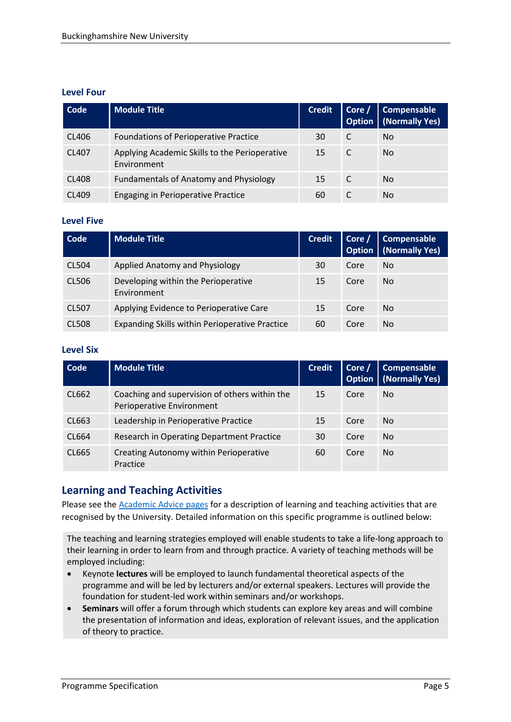#### **Level Four**

| Code         | <b>Module Title</b>                                          | <b>Credit</b> |   | Core / Compensable<br><b>Option</b> (Normally Yes) |
|--------------|--------------------------------------------------------------|---------------|---|----------------------------------------------------|
| CL406        | <b>Foundations of Perioperative Practice</b>                 | 30            | C | No.                                                |
| CL407        | Applying Academic Skills to the Perioperative<br>Environment | 15            |   | No.                                                |
| <b>CL408</b> | <b>Fundamentals of Anatomy and Physiology</b>                | 15            |   | No.                                                |
| CL409        | <b>Engaging in Perioperative Practice</b>                    | 60            |   | No.                                                |

#### **Level Five**

| Code         | <b>Module Title</b>                                | <b>Credit</b> |      | Core / Compensable<br><b>Option</b>   (Normally Yes) |
|--------------|----------------------------------------------------|---------------|------|------------------------------------------------------|
| <b>CL504</b> | Applied Anatomy and Physiology                     | 30            | Core | N <sub>o</sub>                                       |
| CL506        | Developing within the Perioperative<br>Environment | 15            | Core | N <sub>o</sub>                                       |
| <b>CL507</b> | Applying Evidence to Perioperative Care            | 15            | Core | No.                                                  |
| <b>CL508</b> | Expanding Skills within Perioperative Practice     | 60            | Core | No.                                                  |

#### **Level Six**

| Code  | <b>Module Title</b>                                                        | <b>Credit</b> | Core $/$ | Compensable<br><b>Option</b> (Normally Yes) |
|-------|----------------------------------------------------------------------------|---------------|----------|---------------------------------------------|
| CL662 | Coaching and supervision of others within the<br>Perioperative Environment | 15            | Core     | No.                                         |
| CL663 | Leadership in Perioperative Practice                                       | 15            | Core     | No.                                         |
| CL664 | Research in Operating Department Practice                                  | 30            | Core     | No.                                         |
| CL665 | Creating Autonomy within Perioperative<br>Practice                         | 60            | Core     | No.                                         |

# **Learning and Teaching Activities**

Please see the [Academic Advice pages](https://bucks.ac.uk/students/academicadvice/course-structure-and-regulations/learning-and-teaching-activities) for a description of learning and teaching activities that are recognised by the University. Detailed information on this specific programme is outlined below:

The teaching and learning strategies employed will enable students to take a life-long approach to their learning in order to learn from and through practice. A variety of teaching methods will be employed including:

- Keynote **lectures** will be employed to launch fundamental theoretical aspects of the programme and will be led by lecturers and/or external speakers. Lectures will provide the foundation for student-led work within seminars and/or workshops.
- **Seminars** will offer a forum through which students can explore key areas and will combine the presentation of information and ideas, exploration of relevant issues, and the application of theory to practice.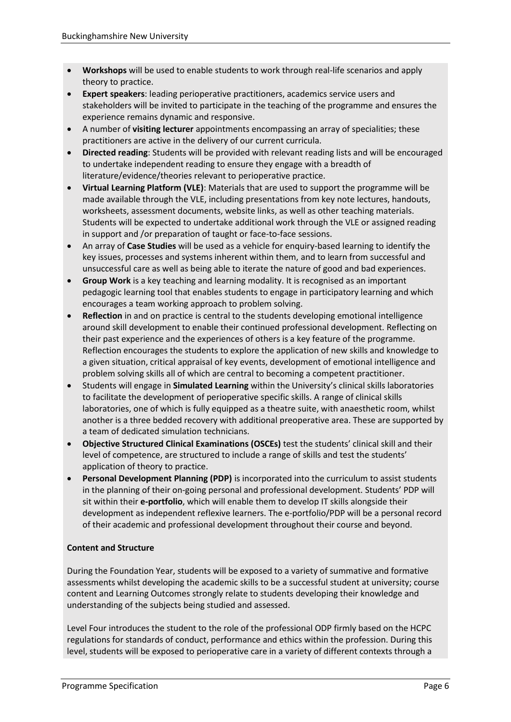- **Workshops** will be used to enable students to work through real-life scenarios and apply theory to practice.
- **Expert speakers**: leading perioperative practitioners, academics service users and stakeholders will be invited to participate in the teaching of the programme and ensures the experience remains dynamic and responsive.
- A number of **visiting lecturer** appointments encompassing an array of specialities; these practitioners are active in the delivery of our current curricula.
- **Directed reading**: Students will be provided with relevant reading lists and will be encouraged to undertake independent reading to ensure they engage with a breadth of literature/evidence/theories relevant to perioperative practice.
- **Virtual Learning Platform (VLE)**: Materials that are used to support the programme will be made available through the VLE, including presentations from key note lectures, handouts, worksheets, assessment documents, website links, as well as other teaching materials. Students will be expected to undertake additional work through the VLE or assigned reading in support and /or preparation of taught or face-to-face sessions.
- An array of **Case Studies** will be used as a vehicle for enquiry-based learning to identify the key issues, processes and systems inherent within them, and to learn from successful and unsuccessful care as well as being able to iterate the nature of good and bad experiences.
- **Group Work** is a key teaching and learning modality. It is recognised as an important pedagogic learning tool that enables students to engage in participatory learning and which encourages a team working approach to problem solving.
- **Reflection** in and on practice is central to the students developing emotional intelligence around skill development to enable their continued professional development. Reflecting on their past experience and the experiences of others is a key feature of the programme. Reflection encourages the students to explore the application of new skills and knowledge to a given situation, critical appraisal of key events, development of emotional intelligence and problem solving skills all of which are central to becoming a competent practitioner.
- Students will engage in **Simulated Learning** within the University's clinical skills laboratories to facilitate the development of perioperative specific skills. A range of clinical skills laboratories, one of which is fully equipped as a theatre suite, with anaesthetic room, whilst another is a three bedded recovery with additional preoperative area. These are supported by a team of dedicated simulation technicians.
- **Objective Structured Clinical Examinations (OSCEs)** test the students' clinical skill and their level of competence, are structured to include a range of skills and test the students' application of theory to practice.
- **Personal Development Planning (PDP)** is incorporated into the curriculum to assist students in the planning of their on-going personal and professional development. Students' PDP will sit within their **e-portfolio**, which will enable them to develop IT skills alongside their development as independent reflexive learners. The e-portfolio/PDP will be a personal record of their academic and professional development throughout their course and beyond.

#### **Content and Structure**

During the Foundation Year, students will be exposed to a variety of summative and formative assessments whilst developing the academic skills to be a successful student at university; course content and Learning Outcomes strongly relate to students developing their knowledge and understanding of the subjects being studied and assessed.

Level Four introduces the student to the role of the professional ODP firmly based on the HCPC regulations for standards of conduct, performance and ethics within the profession. During this level, students will be exposed to perioperative care in a variety of different contexts through a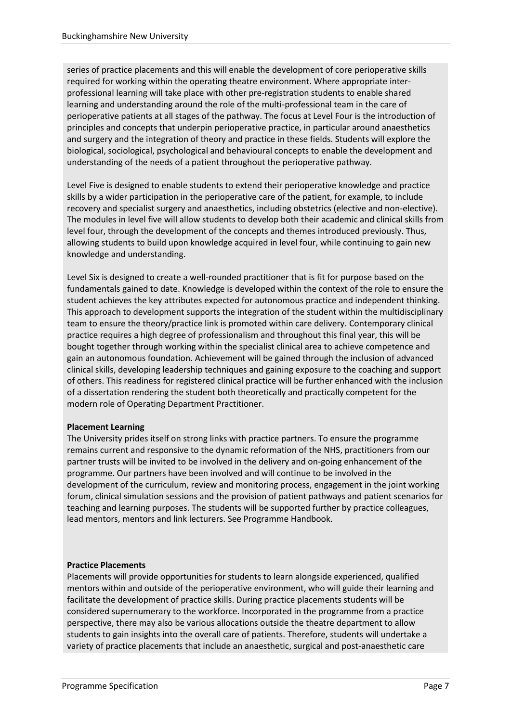series of practice placements and this will enable the development of core perioperative skills required for working within the operating theatre environment. Where appropriate interprofessional learning will take place with other pre-registration students to enable shared learning and understanding around the role of the multi-professional team in the care of perioperative patients at all stages of the pathway. The focus at Level Four is the introduction of principles and concepts that underpin perioperative practice, in particular around anaesthetics and surgery and the integration of theory and practice in these fields. Students will explore the biological, sociological, psychological and behavioural concepts to enable the development and understanding of the needs of a patient throughout the perioperative pathway.

Level Five is designed to enable students to extend their perioperative knowledge and practice skills by a wider participation in the perioperative care of the patient, for example, to include recovery and specialist surgery and anaesthetics, including obstetrics (elective and non-elective). The modules in level five will allow students to develop both their academic and clinical skills from level four, through the development of the concepts and themes introduced previously. Thus, allowing students to build upon knowledge acquired in level four, while continuing to gain new knowledge and understanding.

Level Six is designed to create a well-rounded practitioner that is fit for purpose based on the fundamentals gained to date. Knowledge is developed within the context of the role to ensure the student achieves the key attributes expected for autonomous practice and independent thinking. This approach to development supports the integration of the student within the multidisciplinary team to ensure the theory/practice link is promoted within care delivery. Contemporary clinical practice requires a high degree of professionalism and throughout this final year, this will be bought together through working within the specialist clinical area to achieve competence and gain an autonomous foundation. Achievement will be gained through the inclusion of advanced clinical skills, developing leadership techniques and gaining exposure to the coaching and support of others. This readiness for registered clinical practice will be further enhanced with the inclusion of a dissertation rendering the student both theoretically and practically competent for the modern role of Operating Department Practitioner.

#### **Placement Learning**

The University prides itself on strong links with practice partners. To ensure the programme remains current and responsive to the dynamic reformation of the NHS, practitioners from our partner trusts will be invited to be involved in the delivery and on-going enhancement of the programme. Our partners have been involved and will continue to be involved in the development of the curriculum, review and monitoring process, engagement in the joint working forum, clinical simulation sessions and the provision of patient pathways and patient scenarios for teaching and learning purposes. The students will be supported further by practice colleagues, lead mentors, mentors and link lecturers. See Programme Handbook.

#### **Practice Placements**

Placements will provide opportunities for students to learn alongside experienced, qualified mentors within and outside of the perioperative environment, who will guide their learning and facilitate the development of practice skills. During practice placements students will be considered supernumerary to the workforce. Incorporated in the programme from a practice perspective, there may also be various allocations outside the theatre department to allow students to gain insights into the overall care of patients. Therefore, students will undertake a variety of practice placements that include an anaesthetic, surgical and post-anaesthetic care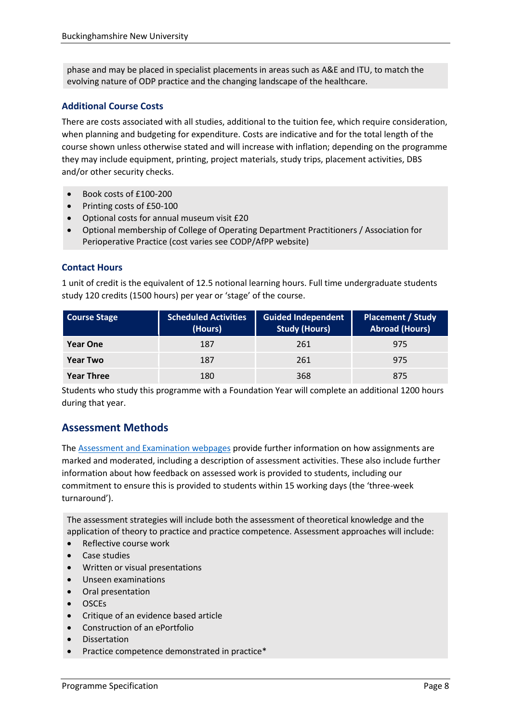phase and may be placed in specialist placements in areas such as A&E and ITU, to match the evolving nature of ODP practice and the changing landscape of the healthcare.

#### **Additional Course Costs**

There are costs associated with all studies, additional to the tuition fee, which require consideration, when planning and budgeting for expenditure. Costs are indicative and for the total length of the course shown unless otherwise stated and will increase with inflation; depending on the programme they may include equipment, printing, project materials, study trips, placement activities, DBS and/or other security checks.

- $\bullet$  Book costs of  $f100-200$
- Printing costs of £50-100
- Optional costs for annual museum visit £20
- Optional membership of College of Operating Department Practitioners / Association for Perioperative Practice (cost varies see CODP/AfPP website)

#### **Contact Hours**

1 unit of credit is the equivalent of 12.5 notional learning hours. Full time undergraduate students study 120 credits (1500 hours) per year or 'stage' of the course.

| <b>Course Stage</b> | <b>Scheduled Activities</b><br>(Hours) | <b>Guided Independent</b><br><b>Study (Hours)</b> | <b>Placement / Study</b><br><b>Abroad (Hours)</b> |
|---------------------|----------------------------------------|---------------------------------------------------|---------------------------------------------------|
| <b>Year One</b>     | 187                                    | 261                                               | 975                                               |
| <b>Year Two</b>     | 187                                    | 261                                               | 975                                               |
| <b>Year Three</b>   | 180                                    | 368                                               | 875                                               |

Students who study this programme with a Foundation Year will complete an additional 1200 hours during that year.

# **Assessment Methods**

The [Assessment and Examination webpages](https://bucks.ac.uk/students/academicadvice/assessment-and-examination) provide further information on how assignments are marked and moderated, including a description of assessment activities. These also include further information about how feedback on assessed work is provided to students, including our commitment to ensure this is provided to students within 15 working days (the 'three-week turnaround').

The assessment strategies will include both the assessment of theoretical knowledge and the application of theory to practice and practice competence. Assessment approaches will include:

- Reflective course work
- Case studies
- Written or visual presentations
- Unseen examinations
- Oral presentation
- OSCEs
- Critique of an evidence based article
- Construction of an ePortfolio
- Dissertation
- Practice competence demonstrated in practice\*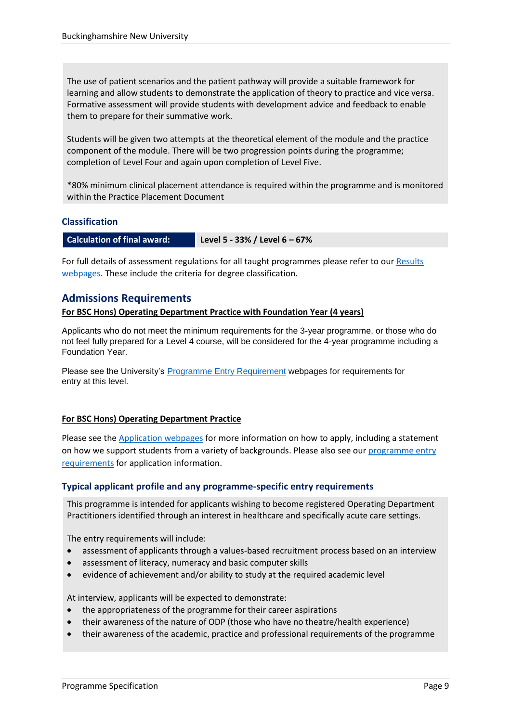The use of patient scenarios and the patient pathway will provide a suitable framework for learning and allow students to demonstrate the application of theory to practice and vice versa. Formative assessment will provide students with development advice and feedback to enable them to prepare for their summative work.

Students will be given two attempts at the theoretical element of the module and the practice component of the module. There will be two progression points during the programme; completion of Level Four and again upon completion of Level Five.

\*80% minimum clinical placement attendance is required within the programme and is monitored within the Practice Placement Document

#### **Classification**

**Calculation of final award: Level 5 - 33% / Level 6 – 67%**

For full details of assessment regulations for all taught programmes please refer to our Results [webpages.](https://bucks.ac.uk/students/academicadvice/results) These include the criteria for degree classification.

#### **Admissions Requirements**

#### **For BSC Hons) Operating Department Practice with Foundation Year (4 years)**

Applicants who do not meet the minimum requirements for the 3-year programme, or those who do not feel fully prepared for a Level 4 course, will be considered for the 4-year programme including a Foundation Year.

Please see the University's [Programme Entry Requirement](https://bucks.ac.uk/courses/undergraduate/health-and-social-sciences/operating-department-practice-with-foundation-year) webpages for requirements for entry at this level.

#### **For BSC Hons) Operating Department Practice**

Please see the [Application webpages](https://bucks.ac.uk/applying-to-bucks) for more information on how to apply, including a statement on how we support students from a variety of backgrounds. Please also see our [programme entry](https://bucks.ac.uk/courses/undergraduate/health-and-social-sciences/operating-department-practice)  [requirements](https://bucks.ac.uk/courses/undergraduate/health-and-social-sciences/operating-department-practice) for application information.

#### **Typical applicant profile and any programme-specific entry requirements**

This programme is intended for applicants wishing to become registered Operating Department Practitioners identified through an interest in healthcare and specifically acute care settings.

The entry requirements will include:

- assessment of applicants through a values-based recruitment process based on an interview
- assessment of literacy, numeracy and basic computer skills
- evidence of achievement and/or ability to study at the required academic level

At interview, applicants will be expected to demonstrate:

- the appropriateness of the programme for their career aspirations
- their awareness of the nature of ODP (those who have no theatre/health experience)
- their awareness of the academic, practice and professional requirements of the programme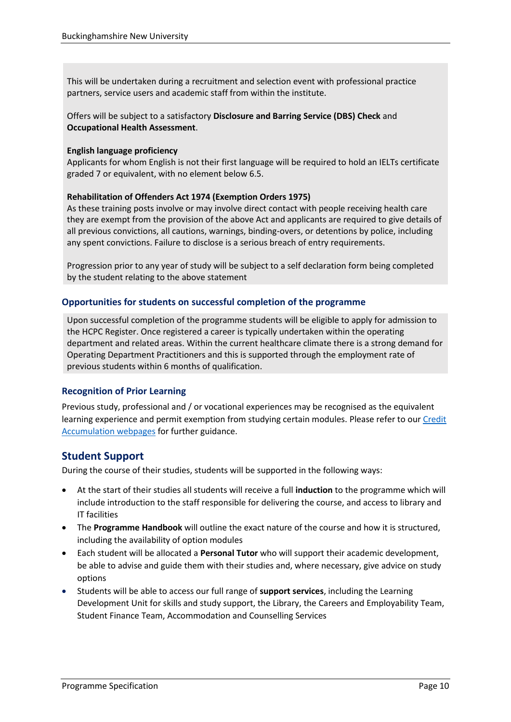This will be undertaken during a recruitment and selection event with professional practice partners, service users and academic staff from within the institute.

Offers will be subject to a satisfactory **Disclosure and Barring Service (DBS) Check** and **Occupational Health Assessment**.

#### **English language proficiency**

Applicants for whom English is not their first language will be required to hold an IELTs certificate graded 7 or equivalent, with no element below 6.5.

#### **Rehabilitation of Offenders Act 1974 (Exemption Orders 1975)**

As these training posts involve or may involve direct contact with people receiving health care they are exempt from the provision of the above Act and applicants are required to give details of all previous convictions, all cautions, warnings, binding-overs, or detentions by police, including any spent convictions. Failure to disclose is a serious breach of entry requirements.

Progression prior to any year of study will be subject to a self declaration form being completed by the student relating to the above statement

#### **Opportunities for students on successful completion of the programme**

Upon successful completion of the programme students will be eligible to apply for admission to the HCPC Register. Once registered a career is typically undertaken within the operating department and related areas. Within the current healthcare climate there is a strong demand for Operating Department Practitioners and this is supported through the employment rate of previous students within 6 months of qualification.

#### **Recognition of Prior Learning**

Previous study, professional and / or vocational experiences may be recognised as the equivalent learning experience and permit exemption from studying certain modules. Please refer to ou[r Credit](https://bucks.ac.uk/students/academicadvice/managing-your-studies/credit-accumulation)  [Accumulation webpages](https://bucks.ac.uk/students/academicadvice/managing-your-studies/credit-accumulation) for further guidance.

### **Student Support**

During the course of their studies, students will be supported in the following ways:

- At the start of their studies all students will receive a full **induction** to the programme which will include introduction to the staff responsible for delivering the course, and access to library and IT facilities
- The **Programme Handbook** will outline the exact nature of the course and how it is structured, including the availability of option modules
- Each student will be allocated a **Personal Tutor** who will support their academic development, be able to advise and guide them with their studies and, where necessary, give advice on study options
- Students will be able to access our full range of **support services**, including the Learning Development Unit for skills and study support, the Library, the Careers and Employability Team, Student Finance Team, Accommodation and Counselling Services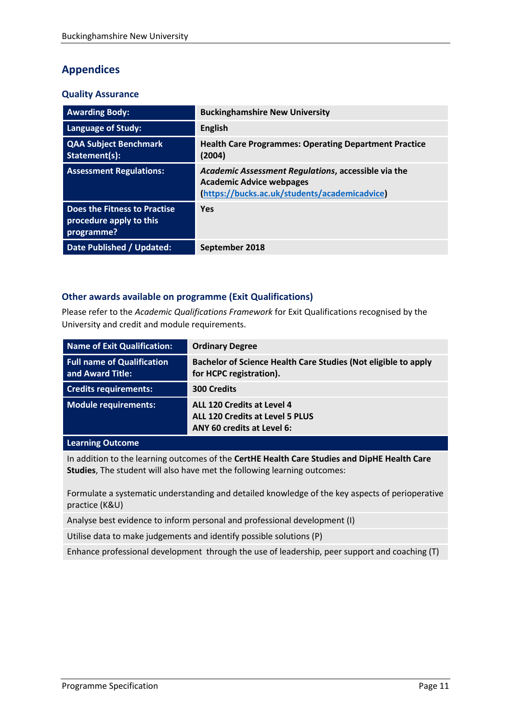# **Appendices**

#### **Quality Assurance**

| <b>Awarding Body:</b>                                                 | <b>Buckinghamshire New University</b>                                                                                                   |
|-----------------------------------------------------------------------|-----------------------------------------------------------------------------------------------------------------------------------------|
| <b>Language of Study:</b>                                             | <b>English</b>                                                                                                                          |
| <b>QAA Subject Benchmark</b><br>Statement(s):                         | <b>Health Care Programmes: Operating Department Practice</b><br>(2004)                                                                  |
| <b>Assessment Regulations:</b>                                        | Academic Assessment Regulations, accessible via the<br><b>Academic Advice webpages</b><br>(https://bucks.ac.uk/students/academicadvice) |
| Does the Fitness to Practise<br>procedure apply to this<br>programme? | Yes                                                                                                                                     |
| <b>Date Published / Updated:</b>                                      | September 2018                                                                                                                          |

#### **Other awards available on programme (Exit Qualifications)**

Please refer to the *Academic Qualifications Framework* for Exit Qualifications recognised by the University and credit and module requirements.

| Name of Exit Qualification:                           | <b>Ordinary Degree</b>                                                                             |
|-------------------------------------------------------|----------------------------------------------------------------------------------------------------|
| <b>Full name of Qualification</b><br>and Award Title: | Bachelor of Science Health Care Studies (Not eligible to apply<br>for HCPC registration).          |
| <b>Credits requirements:</b>                          | <b>300 Credits</b>                                                                                 |
| <b>Module requirements:</b>                           | ALL 120 Credits at Level 4<br><b>ALL 120 Credits at Level 5 PLUS</b><br>ANY 60 credits at Level 6: |

#### **Learning Outcome**

In addition to the learning outcomes of the **CertHE Health Care Studies and DipHE Health Care Studies**, The student will also have met the following learning outcomes:

Formulate a systematic understanding and detailed knowledge of the key aspects of perioperative practice (K&U)

Analyse best evidence to inform personal and professional development (I)

Utilise data to make judgements and identify possible solutions (P)

Enhance professional development through the use of leadership, peer support and coaching (T)